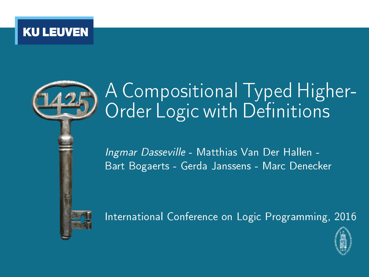

# A Compositional Typed Higher-Order Logic with Definitions

Ingmar Dasseville - Matthias Van Der Hallen - Bart Bogaerts - Gerda Janssens - Marc Denecker



International Conference on Logic Programming, 2016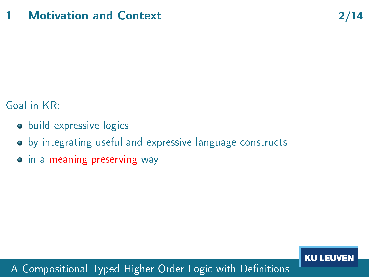### Goal in KR:

- **•** build expressive logics
- by integrating useful and expressive language constructs
- **•** in a meaning preserving way

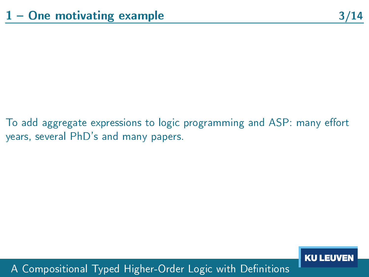To add aggregate expressions to logic programming and ASP: many effort years, several PhD's and many papers.

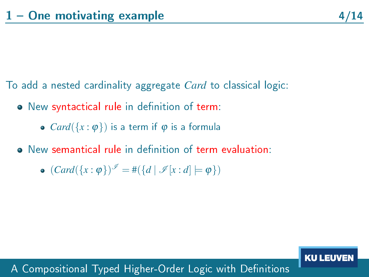**KU LEUVEI** 

To add a nested cardinality aggregate *Card* to classical logic:

- $\bullet$  New syntactical rule in definition of term:
	- $Card({x: \varphi})$  is a term if  $\varphi$  is a formula
- New semantical rule in definition of term evaluation:
	- $(Card({x : \varphi})^{\mathscr{I}} = \#({d \mid \mathscr{I}[x:d] \models \varphi})$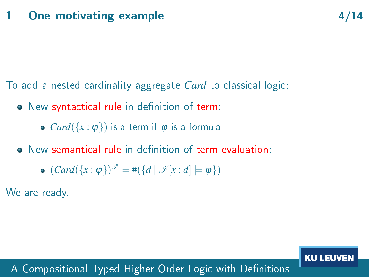**KU LEUVEI** 

To add a nested cardinality aggregate *Card* to classical logic:

- $\bullet$  New syntactical rule in definition of term:
	- $Card({x: \varphi})$  is a term if  $\varphi$  is a formula
- New semantical rule in definition of term evaluation:
	- $(Card({x : \varphi})^{\mathscr{I}} = \#({d \mid \mathscr{I}[x:d] \models \varphi})$

We are ready.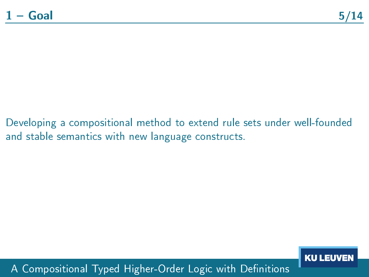Developing a compositional method to extend rule sets under well-founded and stable semantics with new language constructs.

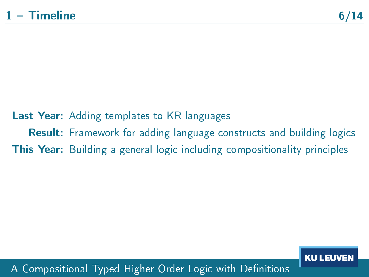# Last Year: Adding templates to KR languages Result: Framework for adding language constructs and building logics **This Year:** Building a general logic including compositionality principles

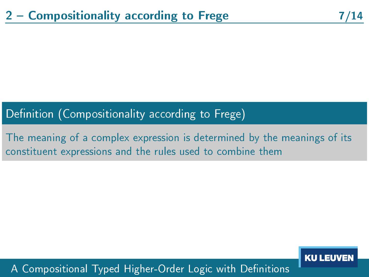# Definition (Compositionality according to Frege)

The meaning of a complex expression is determined by the meanings of its constituent expressions and the rules used to combine them

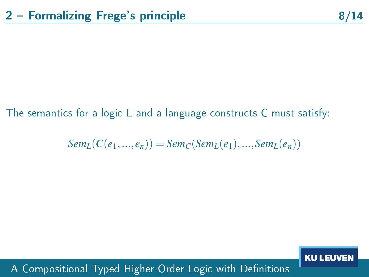#### The semantics for a logic L and a language constructs C must satisfy:

 $Sem<sub>L</sub>(C(e<sub>1</sub>,...,e<sub>n</sub>)) = Sem<sub>C</sub>(Sem<sub>L</sub>(e<sub>1</sub>),...,Sem<sub>L</sub>(e<sub>n</sub>))$ 

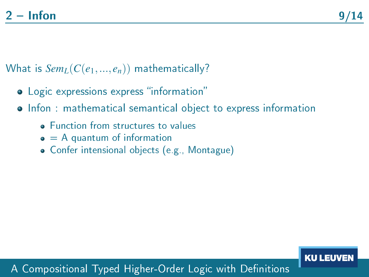What is  $Sem<sub>L</sub>(C(e<sub>1</sub>,...,e<sub>n</sub>))$  mathematically?

- Logic expressions express "information"
- **•** Infon: mathematical semantical object to express information
	- **Function from structures to values**
	- $\bullet$  = A quantum of information
	- Confer intensional objects (e.g., Montague)

#### **KU LEUVE**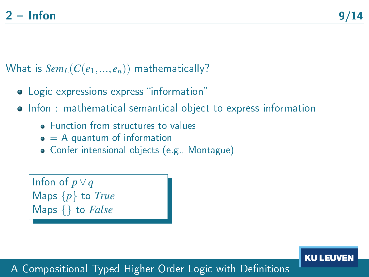**KU LEUV** 

What is  $Sem<sub>L</sub>(C(e<sub>1</sub>,...,e<sub>n</sub>))$  mathematically?

- Logic expressions express "information"
- **•** Infon: mathematical semantical object to express information
	- **Function from structures to values**
	- $\bullet$  = A quantum of information
	- Confer intensional objects (e.g., Montague)

Infon of *p*∨*q* Maps {*p*} to *True* Maps {} to *False*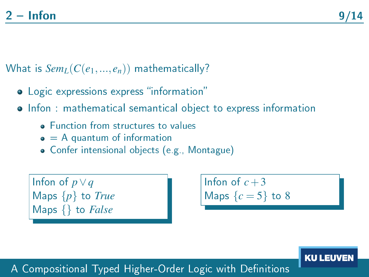What is  $Sem<sub>L</sub>(C(e<sub>1</sub>,...,e<sub>n</sub>))$  mathematically?

- Logic expressions express "information"
- **•** Infon: mathematical semantical object to express information
	- **E**unction from structures to values
	- $\bullet$  = A quantum of information
	- Confer intensional objects (e.g., Montague)

Infon of *p*∨*q* Maps {*p*} to *True* Maps {} to *False*

Infon of  $c+3$ Maps  $\{c = 5\}$  to 8

**KU LEUY**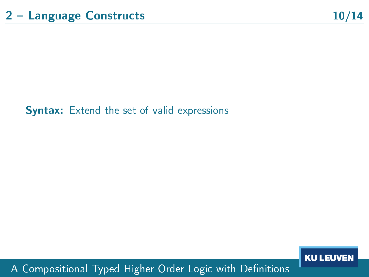#### Syntax: Extend the set of valid expressions

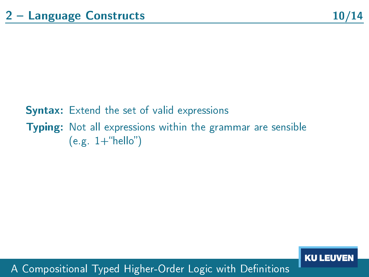# Syntax: Extend the set of valid expressions Typing: Not all expressions within the grammar are sensible  $(e.g. 1+$ "hello")

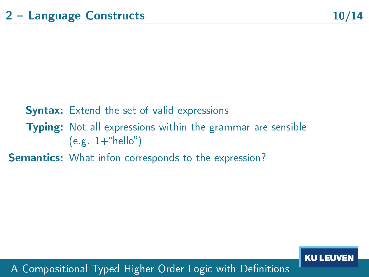# **Syntax:** Extend the set of valid expressions Typing: Not all expressions within the grammar are sensible  $(e.g. 1+$ "hello")

Semantics: What infon corresponds to the expression?

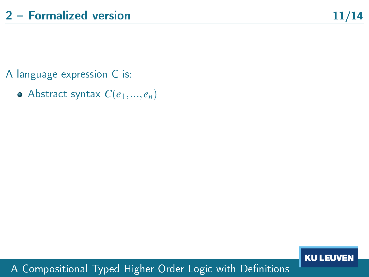- A language expression C is:
	- $\bullet$  Abstract syntax  $C(e_1,...,e_n)$

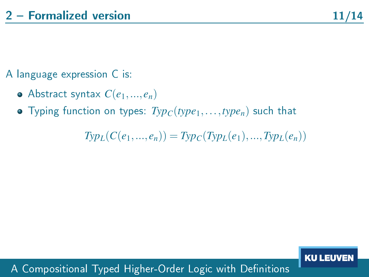## A language expression C is:

- $\bullet$  Abstract syntax  $C(e_1,...,e_n)$
- Typing function on types: *TypC*(*type*1,...,*typen*) such that

 $Typ<sub>L</sub>(C(e_1,...,e_n)) = Typ<sub>C</sub>(Typ<sub>L</sub>(e_1),...,Typ<sub>L</sub>(e_n))$ 

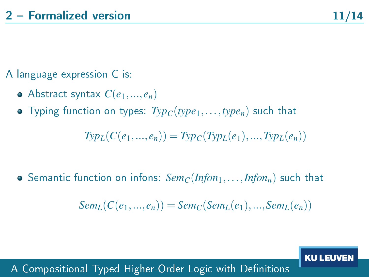### A language expression C is:

- Abstract syntax  $C(e_1, ..., e_n)$
- Typing function on types: *TypC*(*type*1,...,*typen*) such that

 $Typ_l(C(e_1,...,e_n)) = Typ_l(Typ_l(e_1),...,Typ_l(e_n))$ 

• Semantic function on infons:  $Sem_C(Infon_1, \ldots, Infon_n)$  such that

 $Sem<sub>L</sub>(C(e_1,...,e_n)) = Sem<sub>C</sub>(Sem<sub>L</sub>(e_1), ..., Sem<sub>L</sub>(e_n))$ 

A Compositional Typed Higher-Order Logic with Definitions

**KU LEUVE**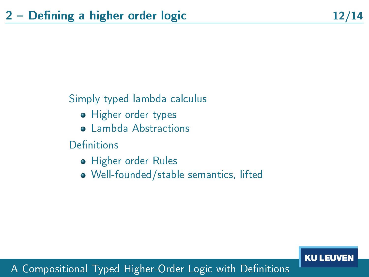### Simply typed lambda calculus

- Higher order types
- **o** Lambda Abstractions
- Definitions
	- **•** Higher order Rules
	- Well-founded/stable semantics, lifted

#### **KU LEUVEN**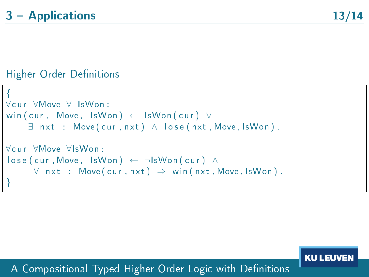**KU LEUVEI** 

#### Higher Order Definitions

```
{
∀c u r ∀Move ∀ IsWon :
win ( cur , Move, IsWon ) \leftarrow IsWon ( cur ) ∨
     \exists nxt : Move(cur, nxt) \land lose(nxt, Move, IsWon).
∀c u r ∀Move ∀IsWon :
\log ( cur , Move, IsWon ) ← ¬IsWon ( cur ) ∧
      \forall nxt : Move(cur, nxt) \Rightarrow win(nxt, Move, IsWon).
}
```